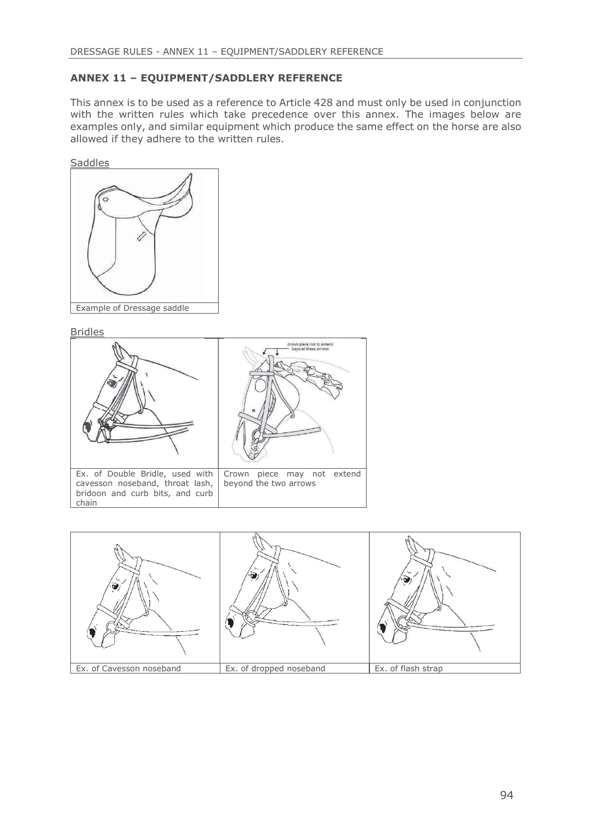## ANNEX 11 – EQUIPMENT/SADDLERY REFERENCE

DRESSAGE RULES - ANNEX 11 – EQUIPMENT/SADDLERY REFERENCE<br> **ANNEX 11 – EQUIPMENT/SADDLERY REFERENCE**<br>
This annex is to be used as a reference to Article 428 and must only be used in conjunction<br>
with the written rules which with the written rules which take precedence over this annex. The images below are examples only, and similar equipment which produce the same effect on the horse are also allowed if they adhere to the written rules.





Bridles



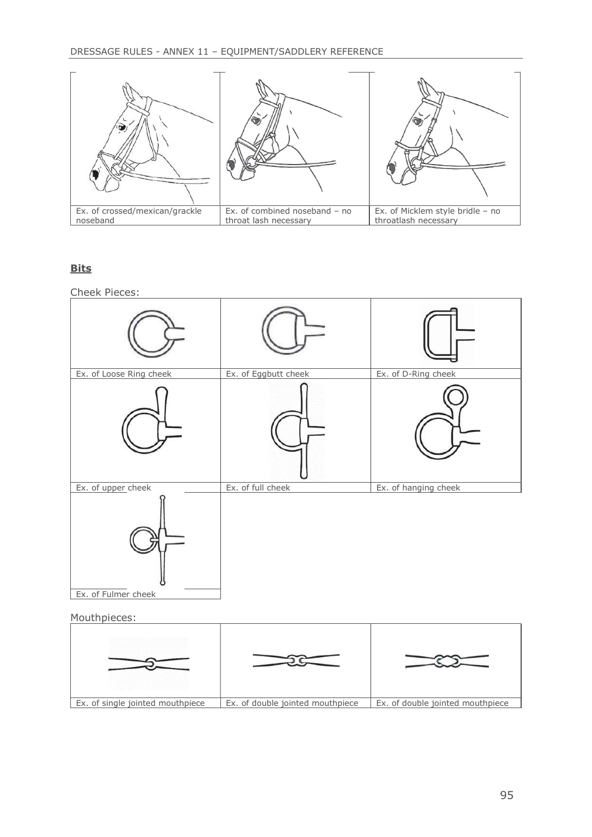

## **Bits**

Cheek Pieces:



Mouthpieces: